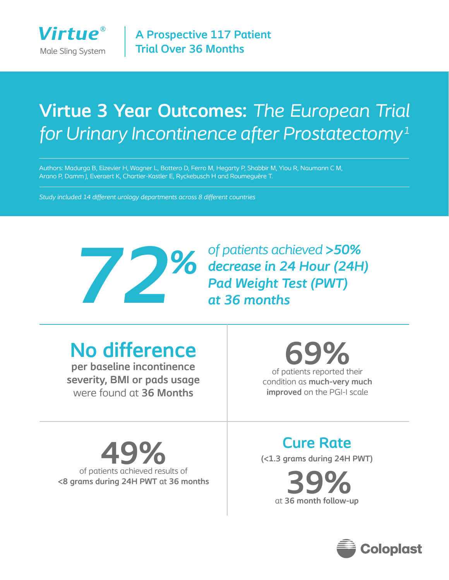

# **Virtue 3 Year Outcomes:** *The European Trial for Urinary Incontinence after Prostatectomy1*

Authors: Madurga B, Elzevier H, Wagner L, Bottero D, Ferro M, Hegarty P, Shabbir M, Yiou R, Naumann C M, Arano P, Damm J, Everaert K, Chartier-Kastler E, Ryckebusch H and Roumeguère T.

*Study included 14 different urology departments across 8 different countries*



*of patients achieved >50% decrease in 24 Hour (24H) Pad Weight Test (PWT) at 36 months*

**No difference** 

**per baseline incontinence severity, BMI or pads usage**  were found at **36 Months**

of patients reported their **69%** condition as **much-very much improved** on the PGI-I scale

of patients achieved results of **<8 grams during 24H PWT** at **36 months** **Cure Rate 49.13** grams during 24H PWT

at **36 month follow-up 39%**